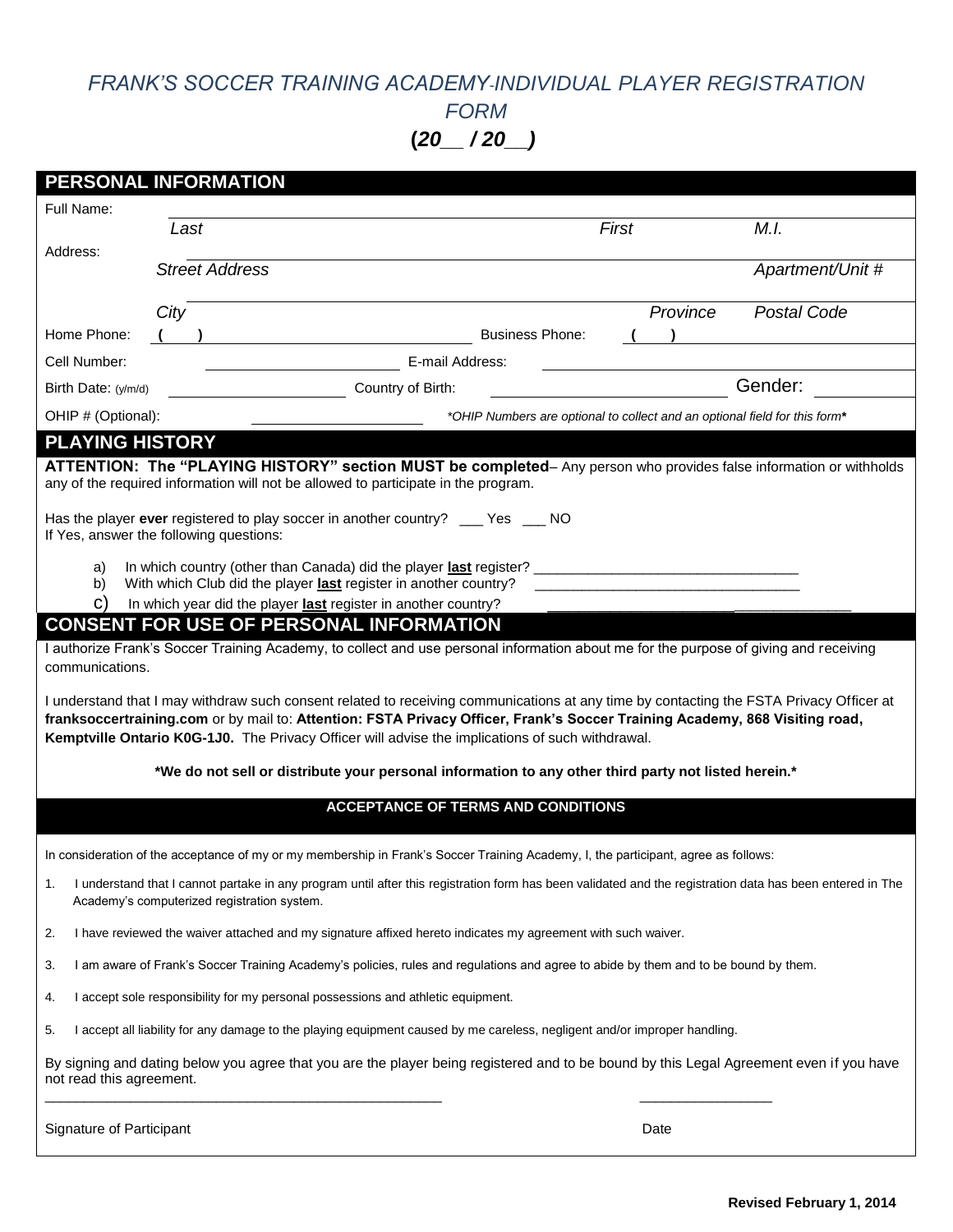# *FRANK'S SOCCER TRAINING ACADEMY-INDIVIDUAL PLAYER REGISTRATION*

*FORM* 

**(***20\_\_ / 20\_\_)*

|                                   | PERSONAL INFORMATION                                                                                                                                                                                                                                                                                                                                                                                                                                                                                                                                                                                                                                                                                                                                                                                                                                                                                                                                |                                                                            |          |                  |
|-----------------------------------|-----------------------------------------------------------------------------------------------------------------------------------------------------------------------------------------------------------------------------------------------------------------------------------------------------------------------------------------------------------------------------------------------------------------------------------------------------------------------------------------------------------------------------------------------------------------------------------------------------------------------------------------------------------------------------------------------------------------------------------------------------------------------------------------------------------------------------------------------------------------------------------------------------------------------------------------------------|----------------------------------------------------------------------------|----------|------------------|
| Full Name:                        |                                                                                                                                                                                                                                                                                                                                                                                                                                                                                                                                                                                                                                                                                                                                                                                                                                                                                                                                                     |                                                                            |          |                  |
|                                   | Last                                                                                                                                                                                                                                                                                                                                                                                                                                                                                                                                                                                                                                                                                                                                                                                                                                                                                                                                                | First                                                                      |          | M.I.             |
| Address:                          | <b>Street Address</b>                                                                                                                                                                                                                                                                                                                                                                                                                                                                                                                                                                                                                                                                                                                                                                                                                                                                                                                               |                                                                            |          | Apartment/Unit # |
|                                   | City                                                                                                                                                                                                                                                                                                                                                                                                                                                                                                                                                                                                                                                                                                                                                                                                                                                                                                                                                |                                                                            | Province | Postal Code      |
| Home Phone:                       |                                                                                                                                                                                                                                                                                                                                                                                                                                                                                                                                                                                                                                                                                                                                                                                                                                                                                                                                                     | <b>Business Phone:</b>                                                     |          |                  |
| Cell Number:                      | E-mail Address:                                                                                                                                                                                                                                                                                                                                                                                                                                                                                                                                                                                                                                                                                                                                                                                                                                                                                                                                     |                                                                            |          |                  |
| Birth Date: $(y/m/d)$             | Country of Birth:                                                                                                                                                                                                                                                                                                                                                                                                                                                                                                                                                                                                                                                                                                                                                                                                                                                                                                                                   |                                                                            |          | Gender:          |
| OHIP # (Optional):                |                                                                                                                                                                                                                                                                                                                                                                                                                                                                                                                                                                                                                                                                                                                                                                                                                                                                                                                                                     | *OHIP Numbers are optional to collect and an optional field for this form* |          |                  |
| a)<br>b)<br>C)<br>communications. | ATTENTION: The "PLAYING HISTORY" section MUST be completed- Any person who provides false information or withholds<br>any of the required information will not be allowed to participate in the program.<br>Has the player ever registered to play soccer in another country? ____ Yes ___ NO<br>If Yes, answer the following questions:<br>With which Club did the player last register in another country?<br>In which year did the player last register in another country?<br><b>CONSENT FOR USE OF PERSONAL INFORMATION</b><br>I authorize Frank's Soccer Training Academy, to collect and use personal information about me for the purpose of giving and receiving<br>I understand that I may withdraw such consent related to receiving communications at any time by contacting the FSTA Privacy Officer at<br>franksoccertraining.com or by mail to: Attention: FSTA Privacy Officer, Frank's Soccer Training Academy, 868 Visiting road, |                                                                            |          |                  |
|                                   | Kemptville Ontario K0G-1J0. The Privacy Officer will advise the implications of such withdrawal.<br>*We do not sell or distribute your personal information to any other third party not listed herein.*                                                                                                                                                                                                                                                                                                                                                                                                                                                                                                                                                                                                                                                                                                                                            |                                                                            |          |                  |
|                                   |                                                                                                                                                                                                                                                                                                                                                                                                                                                                                                                                                                                                                                                                                                                                                                                                                                                                                                                                                     | <b>ACCEPTANCE OF TERMS AND CONDITIONS</b>                                  |          |                  |
|                                   |                                                                                                                                                                                                                                                                                                                                                                                                                                                                                                                                                                                                                                                                                                                                                                                                                                                                                                                                                     |                                                                            |          |                  |
|                                   | In consideration of the acceptance of my or my membership in Frank's Soccer Training Academy, I, the participant, agree as follows:                                                                                                                                                                                                                                                                                                                                                                                                                                                                                                                                                                                                                                                                                                                                                                                                                 |                                                                            |          |                  |
| 1.                                | I understand that I cannot partake in any program until after this registration form has been validated and the registration data has been entered in The<br>Academy's computerized registration system.                                                                                                                                                                                                                                                                                                                                                                                                                                                                                                                                                                                                                                                                                                                                            |                                                                            |          |                  |
| 2.                                | I have reviewed the waiver attached and my signature affixed hereto indicates my agreement with such waiver.                                                                                                                                                                                                                                                                                                                                                                                                                                                                                                                                                                                                                                                                                                                                                                                                                                        |                                                                            |          |                  |
| 3.                                | I am aware of Frank's Soccer Training Academy's policies, rules and regulations and agree to abide by them and to be bound by them.                                                                                                                                                                                                                                                                                                                                                                                                                                                                                                                                                                                                                                                                                                                                                                                                                 |                                                                            |          |                  |
| 4.                                | I accept sole responsibility for my personal possessions and athletic equipment.                                                                                                                                                                                                                                                                                                                                                                                                                                                                                                                                                                                                                                                                                                                                                                                                                                                                    |                                                                            |          |                  |
| 5.                                | I accept all liability for any damage to the playing equipment caused by me careless, negligent and/or improper handling.                                                                                                                                                                                                                                                                                                                                                                                                                                                                                                                                                                                                                                                                                                                                                                                                                           |                                                                            |          |                  |
| not read this agreement.          | By signing and dating below you agree that you are the player being registered and to be bound by this Legal Agreement even if you have                                                                                                                                                                                                                                                                                                                                                                                                                                                                                                                                                                                                                                                                                                                                                                                                             |                                                                            |          |                  |
| Signature of Participant          |                                                                                                                                                                                                                                                                                                                                                                                                                                                                                                                                                                                                                                                                                                                                                                                                                                                                                                                                                     |                                                                            | Date     |                  |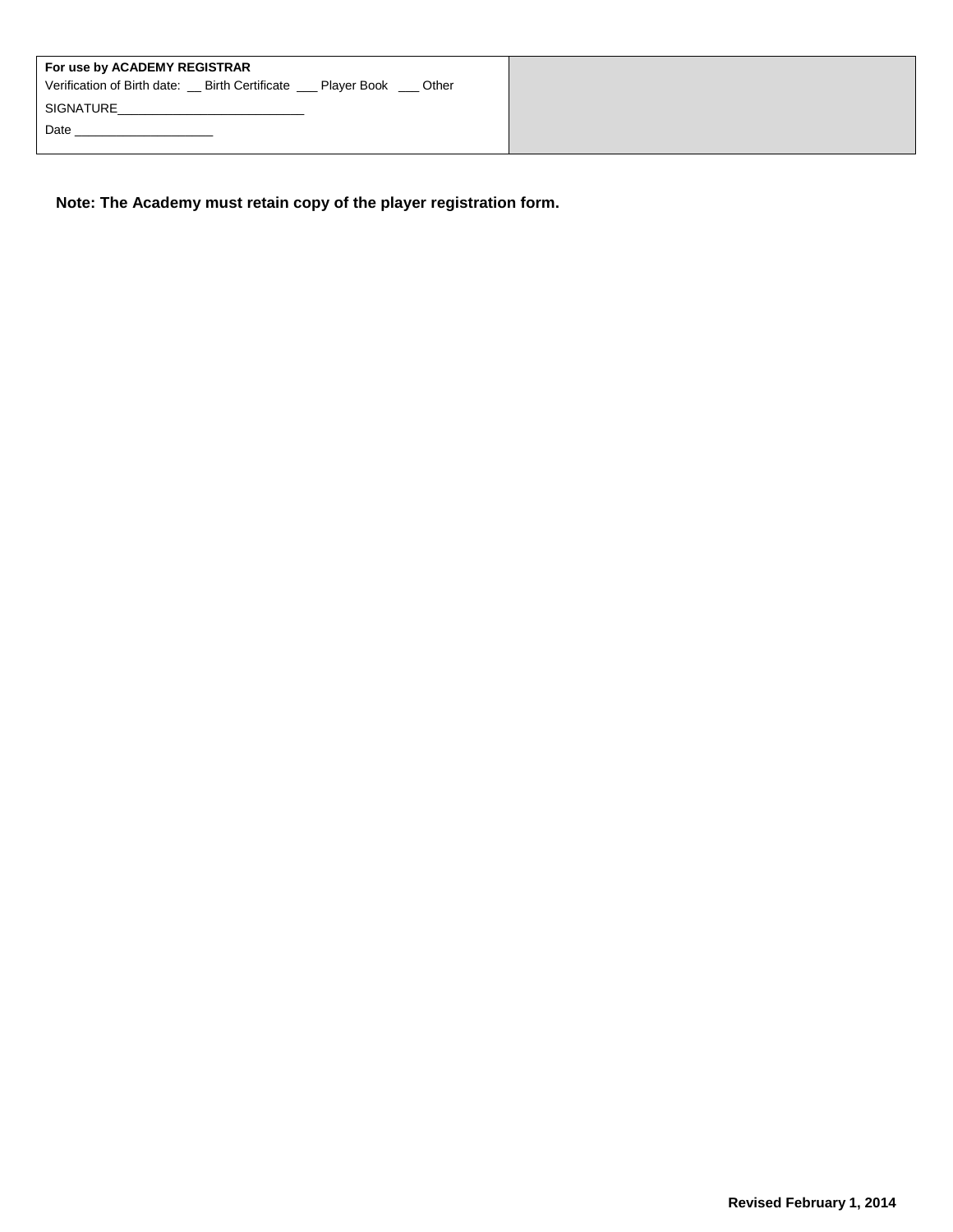| For use by ACADEMY REGISTRAR<br>Verification of Birth date: Birth Certificate Player Book Cother |
|--------------------------------------------------------------------------------------------------|
| SIGNATURE<br>Date                                                                                |
|                                                                                                  |

**Note: The Academy must retain copy of the player registration form.**